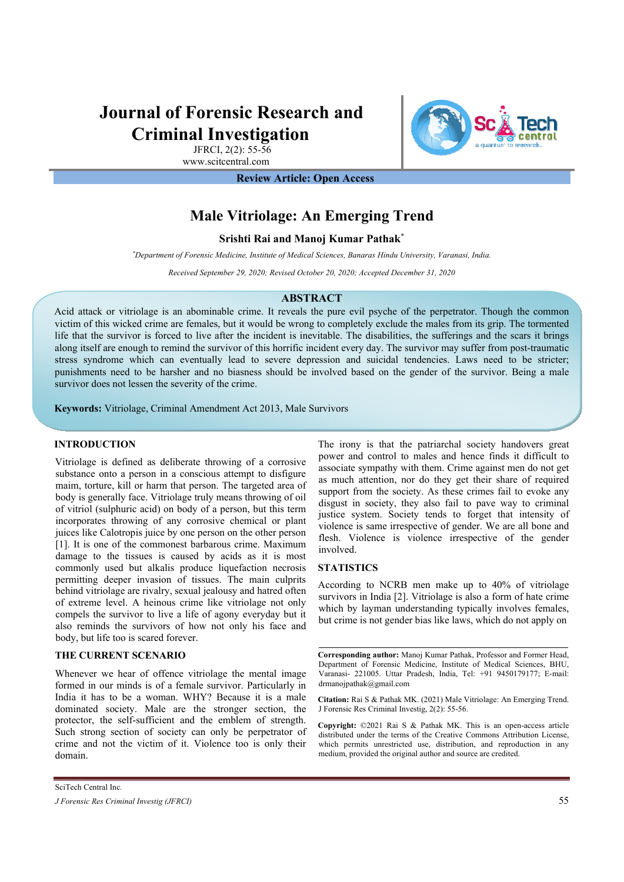# **Journal of Forensic Research and Criminal Investigation**



JFRCI, 2(2): 55-56 www.scitcentral. com

**Review Article: Open Access**

# **Male Vitriolage: An Emerging Trend**

**Srishti Rai and Manoj Kumar Pathak\***

*\* Department of Forensic Medicine, Institute of Medical Sciences, Banaras Hindu University, Varanasi, India.* 

*Received September 29, 2020; Revised October 20, 2020; Accepted December 31, 2020*

# **ABSTRACT**

Acid attack or vitriolage is an abominable crime. It reveals the pure evil psyche of the perpetrator. Though the common victim of this wicked crime are females, but it would be wrong to completely exclude the males from its grip. The tormented life that the survivor is forced to live after the incident is inevitable. The disabilities, the sufferings and the scars it brings along itself are enough to remind the survivor of this horrific incident every day. The survivor may suffer from post-traumatic stress syndrome which can eventually lead to severe depression and suicidal tendencies. Laws need to be stricter; punishments need to be harsher and no biasness should be involved based on the gender of the survivor. Being a male survivor does not lessen the severity of the crime.

**Keywords:** Vitriolage, Criminal Amendment Act 2013, Male Survivors

# **INTRODUCTION**

Vitriolage is defined as deliberate throwing of a corrosive substance onto a person in a conscious attempt to disfigure maim, torture, kill or harm that person. The targeted area of body is generally face. Vitriolage truly means throwing of oil of vitriol (sulphuric acid) on body of a person, but this term incorporates throwing of any corrosive chemical or plant juices like Calotropis juice by one person on the other person [1]. It is one of the commonest barbarous crime. Maximum damage to the tissues is caused by acids as it is most commonly used but alkalis produce liquefaction necrosis permitting deeper invasion of tissues. The main culprits behind vitriolage are rivalry, sexual jealousy and hatred often of extreme level. A heinous crime like vitriolage not only compels the survivor to live a life of agony everyday but it also reminds the survivors of how not only his face and body, but life too is scared forever.

# **THE CURRENT SCENARIO**

Whenever we hear of offence vitriolage the mental image formed in our minds is of a female survivor. Particularly in India it has to be a woman. WHY? Because it is a male dominated society. Male are the stronger section, the protector, the self-sufficient and the emblem of strength. Such strong section of society can only be perpetrator of crime and not the victim of it. Violence too is only their domain.

SciTech Central Inc*. J Forensic Res Criminal Investig (JFRCI)* 55

The irony is that the patriarchal society handovers great power and control to males and hence finds it difficult to associate sympathy with them. Crime against men do not get as much attention, nor do they get their share of required support from the society. As these crimes fail to evoke any disgust in society, they also fail to pave way to criminal justice system. Society tends to forget that intensity of violence is same irrespective of gender. We are all bone and flesh. Violence is violence irrespective of the gender involved.

# **STATISTICS**

According to NCRB men make up to 40% of vitriolage survivors in India [2]. Vitriolage is also a form of hate crime which by layman understanding typically involves females, but crime is not gender bias like laws, which do not apply on

**Citation:** Rai S & Pathak MK. (2021) Male Vitriolage: An Emerging Trend. J Forensic Res Criminal Investig, 2(2): 55-56.

**Copyright:** ©2021 Rai S & Pathak MK. This is an open-access article distributed under the terms of the Creative Commons Attribution License, which permits unrestricted use, distribution, and reproduction in any medium, provided the original author and source are credited.

**Corresponding author:** Manoj Kumar Pathak, Professor and Former Head, Department of Forensic Medicine, Institute of Medical Sciences, BHU, Varanasi- 221005. Uttar Pradesh, India, Tel: +91 9450179177; E-mail: drmanojpathak@gmail.com